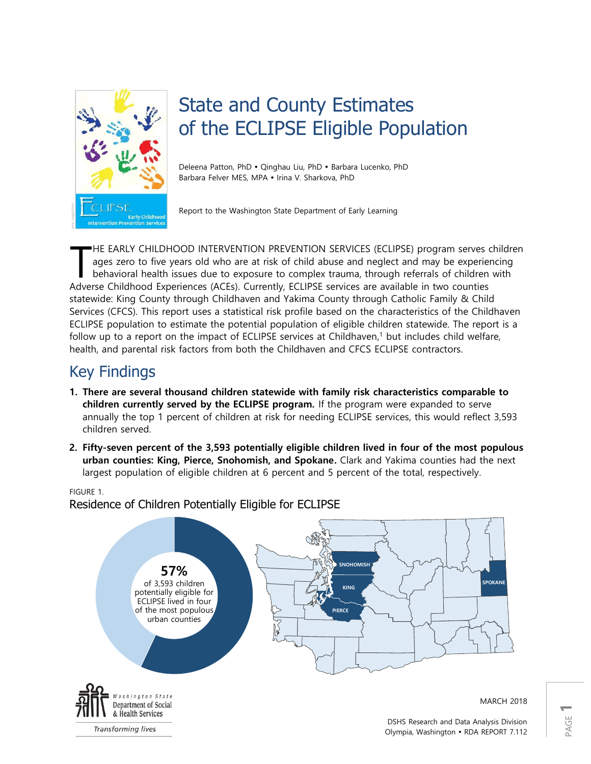

# State and County Estimates of the ECLIPSE Eligible Population

Deleena Patton, PhD · Qinghau Liu, PhD · Barbara Lucenko, PhD Barbara Felver MES, MPA . Irina V. Sharkova, PhD

Report to the Washington State Department of Early Learning

HE EARLY CHILDHOOD INTERVENTION PREVENTION SERVICES (ECLIPSE) program serves children ages zero to five years old who are at risk of child abuse and neglect and may be experiencing behavioral health issues due to exposure to complex trauma, through referrals of children with Adverse Childhood Experiences (ACEs). Currently, ECLIPSE services are available in two counties statewide: King County through Childhaven and Yakima County through Catholic Family & Child Services (CFCS). This report uses a statistical risk profile based on the characteristics of the Childhaven ECLIPSE population to estimate the potential population of eligible children statewide. The report is a follow up to a report on the impact of ECLIPSE services at Childhaven, <sup>1</sup> but includes child welfare, health, and parental risk factors from both the Childhaven and CFCS ECLIPSE contractors. T

# Key Findings

- **1. There are several thousand children statewide with family risk characteristics comparable to children currently served by the ECLIPSE program.** If the program were expanded to serve annually the top 1 percent of children at risk for needing ECLIPSE services, this would reflect 3,593 children served.
- **2. Fifty-seven percent of the 3,593 potentially eligible children lived in four of the most populous urban counties: King, Pierce, Snohomish, and Spokane.** Clark and Yakima counties had the next largest population of eligible children at 6 percent and 5 percent of the total, respectively.

#### FIGURE 1. Residence of Children Potentially Eligible for ECLIPSE



PAGE **1**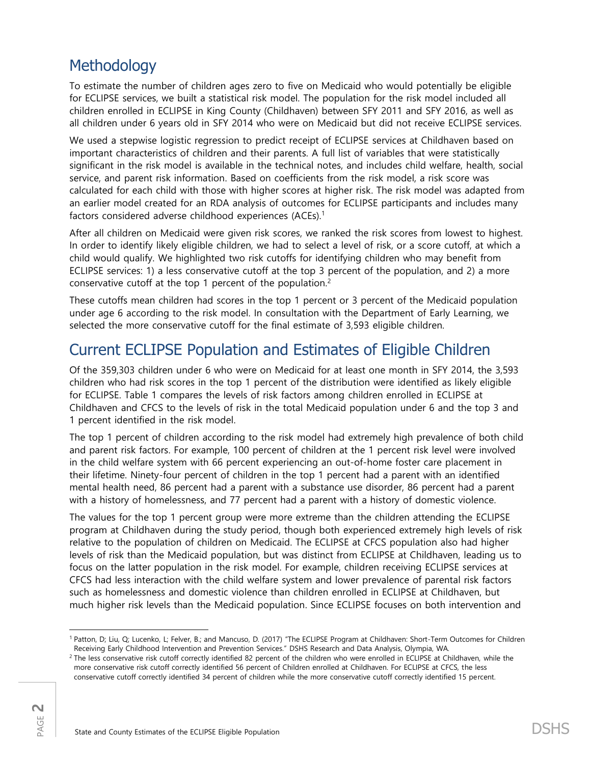## Methodology

To estimate the number of children ages zero to five on Medicaid who would potentially be eligible for ECLIPSE services, we built a statistical risk model. The population for the risk model included all children enrolled in ECLIPSE in King County (Childhaven) between SFY 2011 and SFY 2016, as well as all children under 6 years old in SFY 2014 who were on Medicaid but did not receive ECLIPSE services.

We used a stepwise logistic regression to predict receipt of ECLIPSE services at Childhaven based on important characteristics of children and their parents. A full list of variables that were statistically significant in the risk model is available in the technical notes, and includes child welfare, health, social service, and parent risk information. Based on coefficients from the risk model, a risk score was calculated for each child with those with higher scores at higher risk. The risk model was adapted from an earlier model created for an RDA analysis of outcomes for ECLIPSE participants and includes many factors considered adverse childhood experiences (ACEs). 1

After all children on Medicaid were given risk scores, we ranked the risk scores from lowest to highest. In order to identify likely eligible children, we had to select a level of risk, or a score cutoff, at which a child would qualify. We highlighted two risk cutoffs for identifying children who may benefit from ECLIPSE services: 1) a less conservative cutoff at the top 3 percent of the population, and 2) a more conservative cutoff at the top 1 percent of the population.<sup>2</sup>

These cutoffs mean children had scores in the top 1 percent or 3 percent of the Medicaid population under age 6 according to the risk model. In consultation with the Department of Early Learning, we selected the more conservative cutoff for the final estimate of 3,593 eligible children.

## Current ECLIPSE Population and Estimates of Eligible Children

Of the 359,303 children under 6 who were on Medicaid for at least one month in SFY 2014, the 3,593 children who had risk scores in the top 1 percent of the distribution were identified as likely eligible for ECLIPSE. Table 1 compares the levels of risk factors among children enrolled in ECLIPSE at Childhaven and CFCS to the levels of risk in the total Medicaid population under 6 and the top 3 and 1 percent identified in the risk model.

The top 1 percent of children according to the risk model had extremely high prevalence of both child and parent risk factors. For example, 100 percent of children at the 1 percent risk level were involved in the child welfare system with 66 percent experiencing an out-of-home foster care placement in their lifetime. Ninety-four percent of children in the top 1 percent had a parent with an identified mental health need, 86 percent had a parent with a substance use disorder, 86 percent had a parent with a history of homelessness, and 77 percent had a parent with a history of domestic violence.

The values for the top 1 percent group were more extreme than the children attending the ECLIPSE program at Childhaven during the study period, though both experienced extremely high levels of risk relative to the population of children on Medicaid. The ECLIPSE at CFCS population also had higher levels of risk than the Medicaid population, but was distinct from ECLIPSE at Childhaven, leading us to focus on the latter population in the risk model. For example, children receiving ECLIPSE services at CFCS had less interaction with the child welfare system and lower prevalence of parental risk factors such as homelessness and domestic violence than children enrolled in ECLIPSE at Childhaven, but much higher risk levels than the Medicaid population. Since ECLIPSE focuses on both intervention and

 $\overline{a}$ <sup>1</sup> Patton, D; Liu, Q; Lucenko, L; Felver, B.; and Mancuso, D. (2017) "The ECLIPSE Program at Childhaven: Short-Term Outcomes for Children Receiving Early Childhood Intervention and Prevention Services." DSHS Research and Data Analysis, Olympia, WA.

<sup>&</sup>lt;sup>2</sup> The less conservative risk cutoff correctly identified 82 percent of the children who were enrolled in ECLIPSE at Childhaven, while the more conservative risk cutoff correctly identified 56 percent of Children enrolled at Childhaven. For ECLIPSE at CFCS, the less conservative cutoff correctly identified 34 percent of children while the more conservative cutoff correctly identified 15 percent.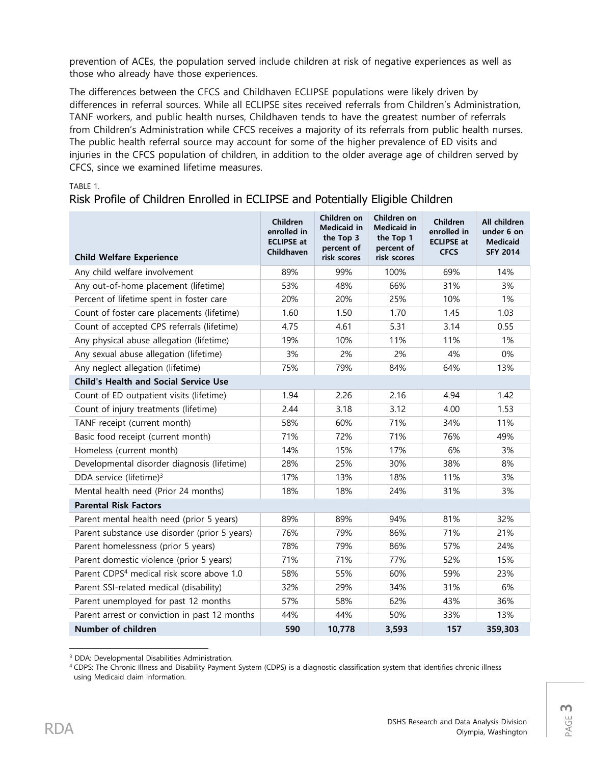prevention of ACEs, the population served include children at risk of negative experiences as well as those who already have those experiences.

The differences between the CFCS and Childhaven ECLIPSE populations were likely driven by differences in referral sources. While all ECLIPSE sites received referrals from Children's Administration, TANF workers, and public health nurses, Childhaven tends to have the greatest number of referrals from Children's Administration while CFCS receives a majority of its referrals from public health nurses. The public health referral source may account for some of the higher prevalence of ED visits and injuries in the CFCS population of children, in addition to the older average age of children served by CFCS, since we examined lifetime measures.

### Risk Profile of Children Enrolled in ECLIPSE and Potentially Eligible Children

| <b>Child Welfare Experience</b>                       | Children<br>enrolled in<br><b>ECLIPSE at</b><br><b>Childhaven</b> | Children on<br><b>Medicaid in</b><br>the Top 3<br>percent of<br>risk scores | Children on<br><b>Medicaid in</b><br>the Top 1<br>percent of<br>risk scores | Children<br>enrolled in<br><b>ECLIPSE at</b><br><b>CFCS</b> | All children<br>under 6 on<br><b>Medicaid</b><br><b>SFY 2014</b> |  |
|-------------------------------------------------------|-------------------------------------------------------------------|-----------------------------------------------------------------------------|-----------------------------------------------------------------------------|-------------------------------------------------------------|------------------------------------------------------------------|--|
| Any child welfare involvement                         | 89%                                                               | 99%                                                                         | 100%                                                                        | 69%                                                         | 14%                                                              |  |
| Any out-of-home placement (lifetime)                  | 53%                                                               | 48%                                                                         | 66%                                                                         | 31%                                                         | 3%                                                               |  |
| Percent of lifetime spent in foster care              | 20%                                                               | 20%                                                                         | 25%                                                                         | 10%                                                         | 1%                                                               |  |
| Count of foster care placements (lifetime)            | 1.60                                                              | 1.50                                                                        | 1.70                                                                        | 1.45                                                        | 1.03                                                             |  |
| Count of accepted CPS referrals (lifetime)            | 4.75                                                              | 4.61                                                                        | 5.31                                                                        | 3.14                                                        | 0.55                                                             |  |
| Any physical abuse allegation (lifetime)              | 19%                                                               | 10%                                                                         | 11%                                                                         | 11%                                                         | 1%                                                               |  |
| Any sexual abuse allegation (lifetime)                | 3%                                                                | 2%                                                                          | 2%                                                                          | 4%                                                          | 0%                                                               |  |
| Any neglect allegation (lifetime)                     | 75%                                                               | 79%                                                                         | 84%                                                                         | 64%                                                         | 13%                                                              |  |
| <b>Child's Health and Social Service Use</b>          |                                                                   |                                                                             |                                                                             |                                                             |                                                                  |  |
| Count of ED outpatient visits (lifetime)              | 1.94                                                              | 2.26                                                                        | 2.16                                                                        | 4.94                                                        | 1.42                                                             |  |
| Count of injury treatments (lifetime)                 | 2.44                                                              | 3.18                                                                        | 3.12                                                                        | 4.00                                                        | 1.53                                                             |  |
| TANF receipt (current month)                          | 58%                                                               | 60%                                                                         | 71%                                                                         | 34%                                                         | 11%                                                              |  |
| Basic food receipt (current month)                    | 71%                                                               | 72%                                                                         | 71%                                                                         | 76%                                                         | 49%                                                              |  |
| Homeless (current month)                              | 14%                                                               | 15%                                                                         | 17%                                                                         | 6%                                                          | 3%                                                               |  |
| Developmental disorder diagnosis (lifetime)           | 28%                                                               | 25%                                                                         | 30%                                                                         | 38%                                                         | 8%                                                               |  |
| DDA service (lifetime) <sup>3</sup>                   | 17%                                                               | 13%                                                                         | 18%                                                                         | 11%                                                         | 3%                                                               |  |
| Mental health need (Prior 24 months)                  | 18%                                                               | 18%                                                                         | 24%                                                                         | 31%                                                         | 3%                                                               |  |
| <b>Parental Risk Factors</b>                          |                                                                   |                                                                             |                                                                             |                                                             |                                                                  |  |
| Parent mental health need (prior 5 years)             | 89%                                                               | 89%                                                                         | 94%                                                                         | 81%                                                         | 32%                                                              |  |
| Parent substance use disorder (prior 5 years)         | 76%                                                               | 79%                                                                         | 86%                                                                         | 71%                                                         | 21%                                                              |  |
| Parent homelessness (prior 5 years)                   | 78%                                                               | 79%                                                                         | 86%                                                                         | 57%                                                         | 24%                                                              |  |
| Parent domestic violence (prior 5 years)              | 71%                                                               | 71%                                                                         | 77%                                                                         | 52%                                                         | 15%                                                              |  |
| Parent CDPS <sup>4</sup> medical risk score above 1.0 | 58%                                                               | 55%                                                                         | 60%                                                                         | 59%                                                         | 23%                                                              |  |
| Parent SSI-related medical (disability)               | 32%                                                               | 29%                                                                         | 34%                                                                         | 31%                                                         | 6%                                                               |  |
| Parent unemployed for past 12 months                  | 57%                                                               | 58%                                                                         | 62%                                                                         | 43%                                                         | 36%                                                              |  |
| Parent arrest or conviction in past 12 months         | 44%                                                               | 44%                                                                         | 50%                                                                         | 33%                                                         | 13%                                                              |  |
| Number of children                                    | 590                                                               | 10,778                                                                      | 3,593                                                                       | 157                                                         | 359,303                                                          |  |

 $\overline{\phantom{a}}$ <sup>3</sup> DDA: Developmental Disabilities Administration.

<sup>4</sup> CDPS: The Chronic Illness and Disability Payment System (CDPS) is a diagnostic classification system that identifies chronic illness using Medicaid claim information.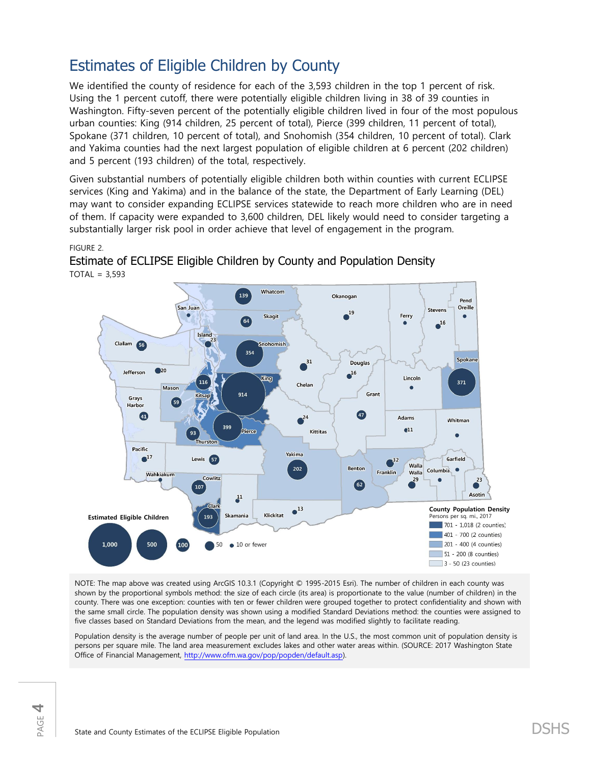# Estimates of Eligible Children by County

We identified the county of residence for each of the 3,593 children in the top 1 percent of risk. Using the 1 percent cutoff, there were potentially eligible children living in 38 of 39 counties in Washington. Fifty-seven percent of the potentially eligible children lived in four of the most populous urban counties: King (914 children, 25 percent of total), Pierce (399 children, 11 percent of total), Spokane (371 children, 10 percent of total), and Snohomish (354 children, 10 percent of total). Clark and Yakima counties had the next largest population of eligible children at 6 percent (202 children) and 5 percent (193 children) of the total, respectively.

Given substantial numbers of potentially eligible children both within counties with current ECLIPSE services (King and Yakima) and in the balance of the state, the Department of Early Learning (DEL) may want to consider expanding ECLIPSE services statewide to reach more children who are in need of them. If capacity were expanded to 3,600 children, DEL likely would need to consider targeting a substantially larger risk pool in order achieve that level of engagement in the program.

#### FIGURE 2.



Estimate of ECLIPSE Eligible Children by County and Population Density  $TOTAL = 3,593$ 

NOTE: The map above was created using ArcGIS 10.3.1 (Copyright © 1995-2015 Esri). The number of children in each county was shown by the proportional symbols method: the size of each circle (its area) is proportionate to the value (number of children) in the county. There was one exception: counties with ten or fewer children were grouped together to protect confidentiality and shown with the same small circle. The population density was shown using a modified Standard Deviations method: the counties were assigned to five classes based on Standard Deviations from the mean, and the legend was modified slightly to facilitate reading.

Population density is the average number of people per unit of land area. In the U.S., the most common unit of population density is persons per square mile. The land area measurement excludes lakes and other water areas within. (SOURCE: 2017 Washington State Office of Financial Management, [http://www.ofm.wa.gov/pop/popden/default.asp\)](http://www.ofm.wa.gov/pop/popden/default.asp).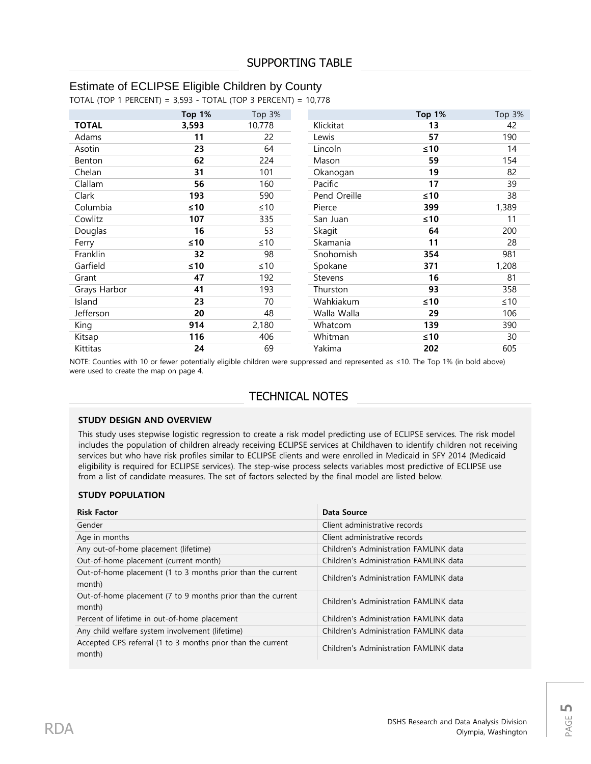### Estimate of ECLIPSE Eligible Children by County

TOTAL (TOP 1 PERCENT) = 3,593 - TOTAL (TOP 3 PERCENT) = 10,778

|              | <b>Top 1%</b> | Top 3%    |                | <b>Top 1%</b> | Top 3%    |
|--------------|---------------|-----------|----------------|---------------|-----------|
| <b>TOTAL</b> | 3,593         | 10,778    | Klickitat      | 13            | 42        |
| Adams        | 11            | 22        | Lewis          | 57            | 190       |
| Asotin       | 23            | 64        | Lincoln        | $≤10$         | 14        |
| Benton       | 62            | 224       | Mason          | 59            | 154       |
| Chelan       | 31            | 101       | Okanogan       | 19            | 82        |
| Clallam      | 56            | 160       | Pacific        | 17            | 39        |
| Clark        | 193           | 590       | Pend Oreille   | $≤10$         | 38        |
| Columbia     | $\leq 10$     | $\leq 10$ | Pierce         | 399           | 1,389     |
| Cowlitz      | 107           | 335       | San Juan       | $≤10$         | 11        |
| Douglas      | 16            | 53        | Skagit         | 64            | 200       |
| Ferry        | $\leq 10$     | $\leq 10$ | Skamania       | 11            | 28        |
| Franklin     | 32            | 98        | Snohomish      | 354           | 981       |
| Garfield     | $\leq 10$     | $\leq 10$ | Spokane        | 371           | 1,208     |
| Grant        | 47            | 192       | <b>Stevens</b> | 16            | 81        |
| Grays Harbor | 41            | 193       | Thurston       | 93            | 358       |
| Island       | 23            | 70        | Wahkiakum      | ≤10           | $\leq 10$ |
| Jefferson    | 20            | 48        | Walla Walla    | 29            | 106       |
| King         | 914           | 2,180     | Whatcom        | 139           | 390       |
| Kitsap       | 116           | 406       | Whitman        | ≤10           | 30        |
| Kittitas     | 24            | 69        | Yakima         | 202           | 605       |

NOTE: Counties with 10 or fewer potentially eligible children were suppressed and represented as ≤10. The Top 1% (in bold above) were used to create the map on page 4.

### TECHNICAL NOTES

#### **STUDY DESIGN AND OVERVIEW**

This study uses stepwise logistic regression to create a risk model predicting use of ECLIPSE services. The risk model includes the population of children already receiving ECLIPSE services at Childhaven to identify children not receiving services but who have risk profiles similar to ECLIPSE clients and were enrolled in Medicaid in SFY 2014 (Medicaid eligibility is required for ECLIPSE services). The step-wise process selects variables most predictive of ECLIPSE use from a list of candidate measures. The set of factors selected by the final model are listed below.

#### **STUDY POPULATION**

| <b>Risk Factor</b>                                                    | Data Source                            |
|-----------------------------------------------------------------------|----------------------------------------|
| Gender                                                                | Client administrative records          |
| Age in months                                                         | Client administrative records          |
| Any out-of-home placement (lifetime)                                  | Children's Administration FAMLINK data |
| Out-of-home placement (current month)                                 | Children's Administration FAMLINK data |
| Out-of-home placement (1 to 3 months prior than the current<br>month) | Children's Administration FAMLINK data |
| Out-of-home placement (7 to 9 months prior than the current<br>month) | Children's Administration FAMLINK data |
| Percent of lifetime in out-of-home placement                          | Children's Administration FAMLINK data |
| Any child welfare system involvement (lifetime)                       | Children's Administration FAMLINK data |
| Accepted CPS referral (1 to 3 months prior than the current<br>month) | Children's Administration FAMLINK data |